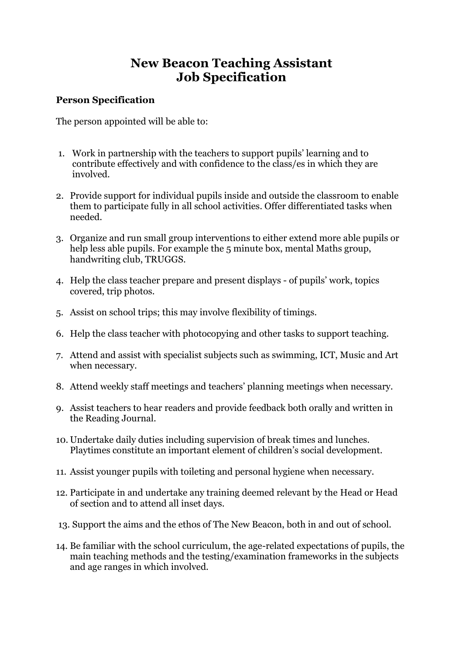# **New Beacon Teaching Assistant Job Specification**

#### **Person Specification**

The person appointed will be able to:

- 1. Work in partnership with the teachers to support pupils' learning and to contribute effectively and with confidence to the class/es in which they are involved.
- 2. Provide support for individual pupils inside and outside the classroom to enable them to participate fully in all school activities. Offer differentiated tasks when needed.
- 3. Organize and run small group interventions to either extend more able pupils or help less able pupils. For example the 5 minute box, mental Maths group, handwriting club, TRUGGS.
- 4. Help the class teacher prepare and present displays of pupils' work, topics covered, trip photos.
- 5. Assist on school trips; this may involve flexibility of timings.
- 6. Help the class teacher with photocopying and other tasks to support teaching.
- 7. Attend and assist with specialist subjects such as swimming, ICT, Music and Art when necessary.
- 8. Attend weekly staff meetings and teachers' planning meetings when necessary.
- 9. Assist teachers to hear readers and provide feedback both orally and written in the Reading Journal.
- 10. Undertake daily duties including supervision of break times and lunches. Playtimes constitute an important element of children's social development.
- 11. Assist younger pupils with toileting and personal hygiene when necessary.
- 12. Participate in and undertake any training deemed relevant by the Head or Head of section and to attend all inset days.
- 13. Support the aims and the ethos of The New Beacon, both in and out of school.
- 14. Be familiar with the school curriculum, the age-related expectations of pupils, the main teaching methods and the testing/examination frameworks in the subjects and age ranges in which involved.